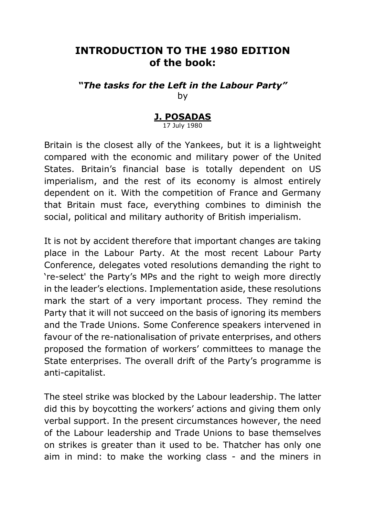## **INTRODUCTION TO THE 1980 EDITION of the book:**

*"The tasks for the Left in the Labour Party"* by

## **J. POSADAS** 17 July 1980

Britain is the closest ally of the Yankees, but it is a lightweight compared with the economic and military power of the United States. Britain's financial base is totally dependent on US imperialism, and the rest of its economy is almost entirely dependent on it. With the competition of France and Germany that Britain must face, everything combines to diminish the social, political and military authority of British imperialism.

It is not by accident therefore that important changes are taking place in the Labour Party. At the most recent Labour Party Conference, delegates voted resolutions demanding the right to 're-select' the Party's MPs and the right to weigh more directly in the leader's elections. Implementation aside, these resolutions mark the start of a very important process. They remind the Party that it will not succeed on the basis of ignoring its members and the Trade Unions. Some Conference speakers intervened in favour of the re-nationalisation of private enterprises, and others proposed the formation of workers' committees to manage the State enterprises. The overall drift of the Party's programme is anti-capitalist.

The steel strike was blocked by the Labour leadership. The latter did this by boycotting the workers' actions and giving them only verbal support. In the present circumstances however, the need of the Labour leadership and Trade Unions to base themselves on strikes is greater than it used to be. Thatcher has only one aim in mind: to make the working class - and the miners in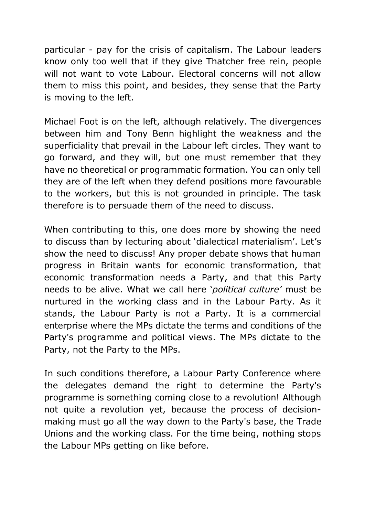particular - pay for the crisis of capitalism. The Labour leaders know only too well that if they give Thatcher free rein, people will not want to vote Labour. Electoral concerns will not allow them to miss this point, and besides, they sense that the Party is moving to the left.

Michael Foot is on the left, although relatively. The divergences between him and Tony Benn highlight the weakness and the superficiality that prevail in the Labour left circles. They want to go forward, and they will, but one must remember that they have no theoretical or programmatic formation. You can only tell they are of the left when they defend positions more favourable to the workers, but this is not grounded in principle. The task therefore is to persuade them of the need to discuss.

When contributing to this, one does more by showing the need to discuss than by lecturing about 'dialectical materialism'. Let's show the need to discuss! Any proper debate shows that human progress in Britain wants for economic transformation, that economic transformation needs a Party, and that this Party needs to be alive. What we call here '*political culture'* must be nurtured in the working class and in the Labour Party. As it stands, the Labour Party is not a Party. It is a commercial enterprise where the MPs dictate the terms and conditions of the Party's programme and political views. The MPs dictate to the Party, not the Party to the MPs.

In such conditions therefore, a Labour Party Conference where the delegates demand the right to determine the Party's programme is something coming close to a revolution! Although not quite a revolution yet, because the process of decisionmaking must go all the way down to the Party's base, the Trade Unions and the working class. For the time being, nothing stops the Labour MPs getting on like before.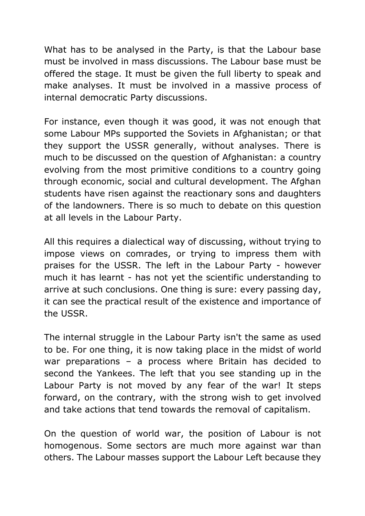What has to be analysed in the Party, is that the Labour base must be involved in mass discussions. The Labour base must be offered the stage. It must be given the full liberty to speak and make analyses. It must be involved in a massive process of internal democratic Party discussions.

For instance, even though it was good, it was not enough that some Labour MPs supported the Soviets in Afghanistan; or that they support the USSR generally, without analyses. There is much to be discussed on the question of Afghanistan: a country evolving from the most primitive conditions to a country going through economic, social and cultural development. The Afghan students have risen against the reactionary sons and daughters of the landowners. There is so much to debate on this question at all levels in the Labour Party.

All this requires a dialectical way of discussing, without trying to impose views on comrades, or trying to impress them with praises for the USSR. The left in the Labour Party - however much it has learnt - has not yet the scientific understanding to arrive at such conclusions. One thing is sure: every passing day, it can see the practical result of the existence and importance of the USSR.

The internal struggle in the Labour Party isn't the same as used to be. For one thing, it is now taking place in the midst of world war preparations – a process where Britain has decided to second the Yankees. The left that you see standing up in the Labour Party is not moved by any fear of the war! It steps forward, on the contrary, with the strong wish to get involved and take actions that tend towards the removal of capitalism.

On the question of world war, the position of Labour is not homogenous. Some sectors are much more against war than others. The Labour masses support the Labour Left because they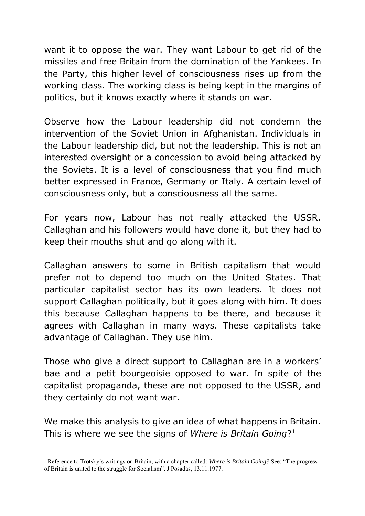want it to oppose the war. They want Labour to get rid of the missiles and free Britain from the domination of the Yankees. In the Party, this higher level of consciousness rises up from the working class. The working class is being kept in the margins of politics, but it knows exactly where it stands on war.

Observe how the Labour leadership did not condemn the intervention of the Soviet Union in Afghanistan. Individuals in the Labour leadership did, but not the leadership. This is not an interested oversight or a concession to avoid being attacked by the Soviets. It is a level of consciousness that you find much better expressed in France, Germany or Italy. A certain level of consciousness only, but a consciousness all the same.

For years now, Labour has not really attacked the USSR. Callaghan and his followers would have done it, but they had to keep their mouths shut and go along with it.

Callaghan answers to some in British capitalism that would prefer not to depend too much on the United States. That particular capitalist sector has its own leaders. It does not support Callaghan politically, but it goes along with him. It does this because Callaghan happens to be there, and because it agrees with Callaghan in many ways. These capitalists take advantage of Callaghan. They use him.

Those who give a direct support to Callaghan are in a workers' bae and a petit bourgeoisie opposed to war. In spite of the capitalist propaganda, these are not opposed to the USSR, and they certainly do not want war.

We make this analysis to give an idea of what happens in Britain. This is where we see the signs of *Where is Britain Going*? 1

<sup>-</sup><sup>1</sup> Reference to Trotsky's writings on Britain, with a chapter called: *Where is Britain Going?* See: "The progress of Britain is united to the struggle for Socialism". J Posadas, 13.11.1977.